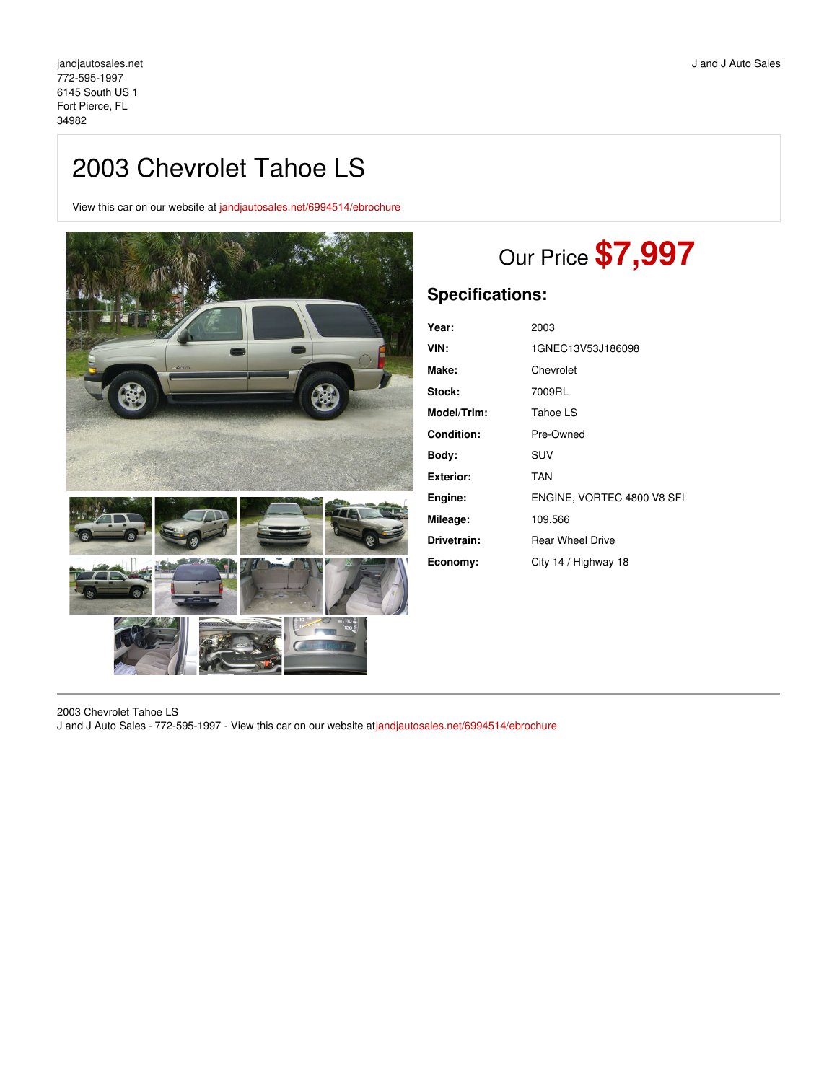## 2003 Chevrolet Tahoe LS

View this car on our website at [jandjautosales.net/6994514/ebrochure](https://jandjautosales.net/vehicle/6994514/2003-chevrolet-tahoe-ls-fort-pierce-fl-34982/6994514/ebrochure)



# Our Price **\$7,997**

## **Specifications:**

| 2003                       |
|----------------------------|
| 1GNEC13V53J186098          |
| Chevrolet                  |
| 7009RL                     |
| Tahoe LS                   |
| Pre-Owned                  |
| SUV                        |
| TAN                        |
| ENGINE, VORTEC 4800 V8 SFI |
| 109,566                    |
| <b>Rear Wheel Drive</b>    |
| City 14 / Highway 18       |
|                            |

2003 Chevrolet Tahoe LS J and J Auto Sales - 772-595-1997 - View this car on our website at[jandjautosales.net/6994514/ebrochure](https://jandjautosales.net/vehicle/6994514/2003-chevrolet-tahoe-ls-fort-pierce-fl-34982/6994514/ebrochure)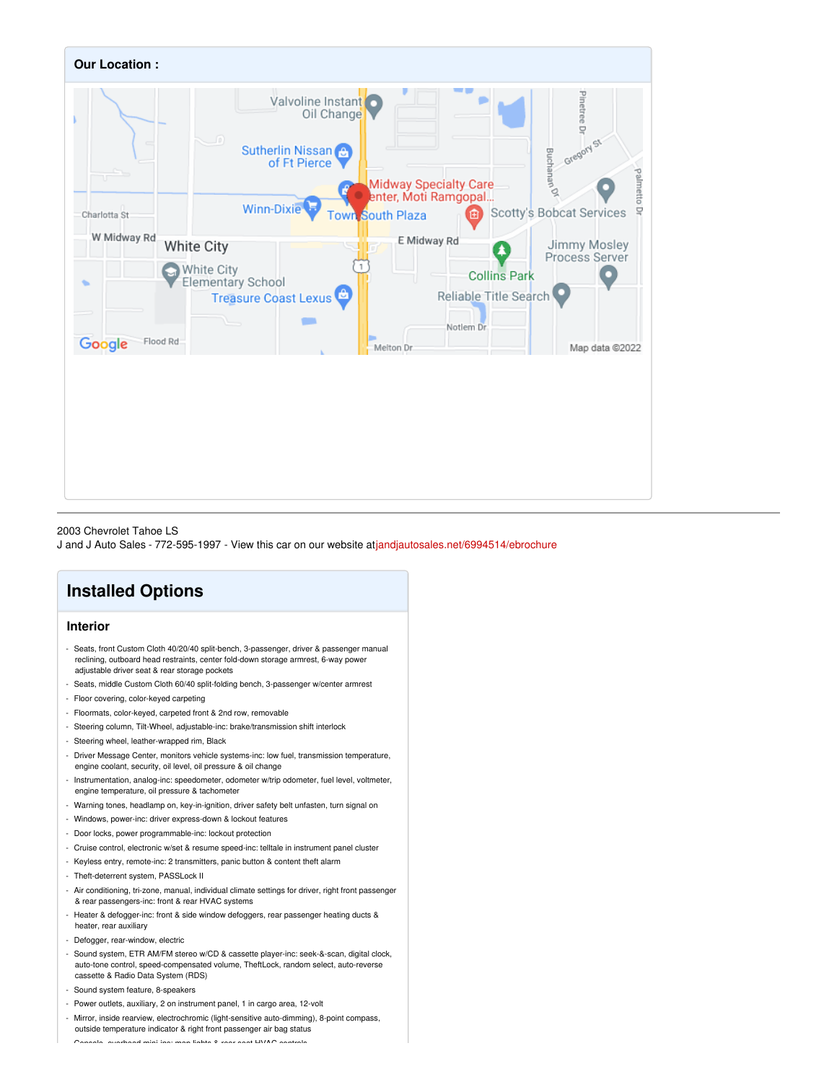

#### 2003 Chevrolet Tahoe LS

J and J Auto Sales - 772-595-1997 - View this car on our website at[jandjautosales.net/6994514/ebrochure](https://jandjautosales.net/vehicle/6994514/2003-chevrolet-tahoe-ls-fort-pierce-fl-34982/6994514/ebrochure)

## **Installed Options**

## **Interior**

- Seats, front Custom Cloth 40/20/40 split-bench, 3-passenger, driver & passenger manual reclining, outboard head restraints, center fold-down storage armrest, 6-way power adjustable driver seat & rear storage pockets
- Seats, middle Custom Cloth 60/40 split-folding bench, 3-passenger w/center armrest
- Floor covering, color-keyed carpeting
- Floormats, color-keyed, carpeted front & 2nd row, removable
- Steering column, Tilt-Wheel, adjustable-inc: brake/transmission shift interlock
- Steering wheel, leather-wrapped rim, Black
- Driver Message Center, monitors vehicle systems-inc: low fuel, transmission temperature, engine coolant, security, oil level, oil pressure & oil change
- Instrumentation, analog-inc: speedometer, odometer w/trip odometer, fuel level, voltmeter, engine temperature, oil pressure & tachometer
- Warning tones, headlamp on, key-in-ignition, driver safety belt unfasten, turn signal on
- Windows, power-inc: driver express-down & lockout features
- Door locks, power programmable-inc: lockout protection
- Cruise control, electronic w/set & resume speed-inc: telltale in instrument panel cluster
- Keyless entry, remote-inc: 2 transmitters, panic button & content theft alarm
- Theft-deterrent system, PASSLock II
- Air conditioning, tri-zone, manual, individual climate settings for driver, right front passenger & rear passengers-inc: front & rear HVAC systems
- Heater & defogger-inc: front & side window defoggers, rear passenger heating ducts & heater, rear auxiliary
- Defogger, rear-window, electric
- Sound system, ETR AM/FM stereo w/CD & cassette player-inc: seek-&-scan, digital clock, auto-tone control, speed-compensated volume, TheftLock, random select, auto-reverse cassette & Radio Data System (RDS)
- Sound system feature, 8-speakers
- Power outlets, auxiliary, 2 on instrument panel, 1 in cargo area, 12-volt
- Mirror, inside rearview, electrochromic (light-sensitive auto-dimming), 8-point compass, outside temperature indicator & right front passenger air bag status

- Console, overhead mini-inc: map lights & rear seat HVAC controls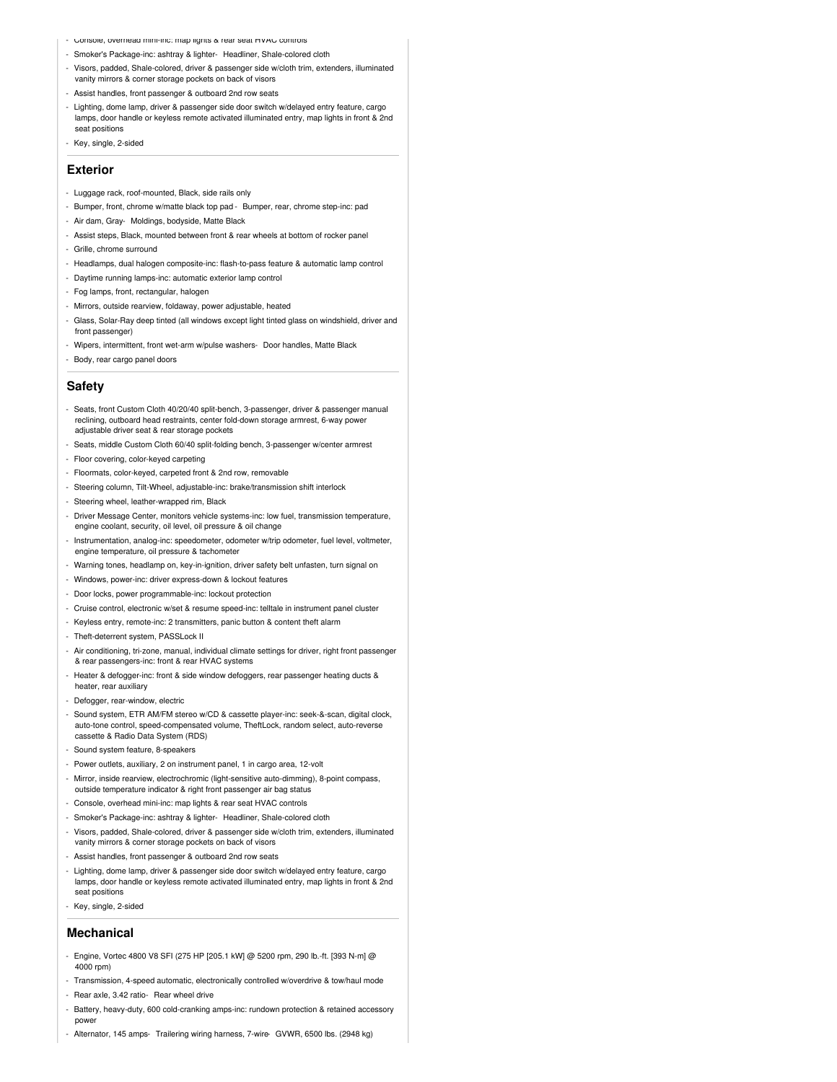- Console, overhead mini-inc: map lights & rear seat HVAC controls
- Smoker's Package-inc: ashtray & lighter- Headliner, Shale-colored cloth
- Visors, padded, Shale-colored, driver & passenger side w/cloth trim, extenders, illuminated vanity mirrors & corner storage pockets on back of visors
- ist handles, front passenger & outboard 2nd row seats
- Lighting, dome lamp, driver & passenger side door switch w/delayed entry feature, cargo lamps, door handle or keyless remote activated illuminated entry, map lights in front & 2nd seat positions
- Key, single, 2-sided

### **Exterior**

- Luggage rack, roof-mounted, Black, side rails only
- Bumper, front, chrome w/matte black top pad Bumper, rear, chrome step-inc: pad
- Air dam, Gray- Moldings, bodyside, Matte Black
- Assist steps, Black, mounted between front & rear wheels at bottom of rocker panel
- Grille, chrome surround
- Headlamps, dual halogen composite-inc: flash-to-pass feature & automatic lamp control
- Daytime running lamps-inc: automatic exterior lamp control
- Fog lamps, front, rectangular, halogen
- Mirrors, outside rearview, foldaway, power adjustable, heated
- Glass, Solar-Ray deep tinted (all windows except light tinted glass on windshield, driver and front passenger)
- Wipers, intermittent, front wet-arm w/pulse washers- Door handles, Matte Black
- Body, rear cargo panel doors

## **Safety**

- Seats, front Custom Cloth 40/20/40 split-bench, 3-passenger, driver & passenger manual reclining, outboard head restraints, center fold-down storage armrest, 6-way power adjustable driver seat & rear storage pockets
- Seats, middle Custom Cloth 60/40 split-folding bench, 3-passenger w/center armrest
- Floor covering, color-keyed carpeting
- Floormats, color-keyed, carpeted front & 2nd row, removable
- Steering column, Tilt-Wheel, adjustable-inc: brake/transmission shift interlock
- Steering wheel, leather-wrapped rim, Black
- Driver Message Center, monitors vehicle systems-inc: low fuel, transmission temperature, engine coolant, security, oil level, oil pressure & oil change
- Instrumentation, analog-inc: speedometer, odometer w/trip odometer, fuel level, voltmeter, engine temperature, oil pressure & tachometer
- Warning tones, headlamp on, key-in-ignition, driver safety belt unfasten, turn signal on
- Windows, power-inc: driver express-down & lockout features
- Door locks, power programmable-inc: lockout protection
- Cruise control, electronic w/set & resume speed-inc: telltale in instrument panel cluster
- Keyless entry, remote-inc: 2 transmitters, panic button & content theft alarm
- Theft-deterrent system, PASSLock II
- Air conditioning, tri-zone, manual, individual climate settings for driver, right front passenger & rear passengers-inc: front & rear HVAC systems
- Heater & defogger-inc: front & side window defoggers, rear passenger heating ducts & heater, rear auxiliary
- Defogger, rear-window, electric
- Sound system, ETR AM/FM stereo w/CD & cassette player-inc: seek-&-scan, digital clock, auto-tone control, speed-compensated volume, TheftLock, random select, auto-reverse cassette & Radio Data System (RDS)
- Sound system feature, 8-speakers
- Power outlets, auxiliary, 2 on instrument panel, 1 in cargo area, 12-volt
- Mirror, inside rearview, electrochromic (light-sensitive auto-dimming), 8-point compass,
- outside temperature indicator & right front passenger air bag status
- Console, overhead mini-inc: map lights & rear seat HVAC controls
- Smoker's Package-inc: ashtray & lighter- Headliner, Shale-colored cloth
- Visors, padded, Shale-colored, driver & passenger side w/cloth trim, extenders, illuminated vanity mirrors & corner storage pockets on back of visors
- Assist handles, front passenger & outboard 2nd row seats
- Lighting, dome lamp, driver & passenger side door switch w/delayed entry feature, cargo lamps, door handle or keyless remote activated illuminated entry, map lights in front & 2nd seat positions
- Key, single, 2-sided

#### **Mechanical**

- Engine, Vortec 4800 V8 SFI (275 HP [205.1 kW] @ 5200 rpm, 290 lb.-ft. [393 N-m] @ 4000 rpm)
- Transmission, 4-speed automatic, electronically controlled w/overdrive & tow/haul mode
- Rear axle, 3.42 ratio- Rear wheel drive
- Battery, heavy-duty, 600 cold-cranking amps-inc: rundown protection & retained accessory power
- Alternator, 145 amps- Trailering wiring harness, 7-wire- GVWR, 6500 lbs. (2948 kg)